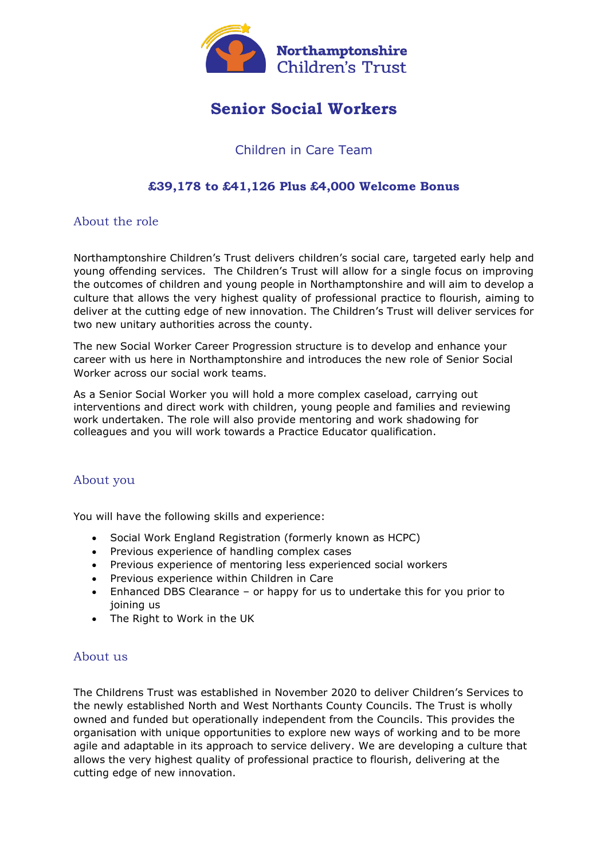

# **Senior Social Workers**

## Children in Care Team

## **£39,178 to £41,126 Plus £4,000 Welcome Bonus**

### About the role

Northamptonshire Children's Trust delivers children's social care, targeted early help and young offending services. The Children's Trust will allow for a single focus on improving the outcomes of children and young people in Northamptonshire and will aim to develop a culture that allows the very highest quality of professional practice to flourish, aiming to deliver at the cutting edge of new innovation. The Children's Trust will deliver services for two new unitary authorities across the county.

The new Social Worker Career Progression structure is to develop and enhance your career with us here in Northamptonshire and introduces the new role of Senior Social Worker across our social work teams.

As a Senior Social Worker you will hold a more complex caseload, carrying out interventions and direct work with children, young people and families and reviewing work undertaken. The role will also provide mentoring and work shadowing for colleagues and you will work towards a Practice Educator qualification.

#### About you

You will have the following skills and experience:

- Social Work England Registration (formerly known as HCPC)
- Previous experience of handling complex cases
- Previous experience of mentoring less experienced social workers
- Previous experience within Children in Care
- Enhanced DBS Clearance or happy for us to undertake this for you prior to joining us
- The Right to Work in the UK

#### About us

The Childrens Trust was established in November 2020 to deliver Children's Services to the newly established North and West Northants County Councils. The Trust is wholly owned and funded but operationally independent from the Councils. This provides the organisation with unique opportunities to explore new ways of working and to be more agile and adaptable in its approach to service delivery. We are developing a culture that allows the very highest quality of professional practice to flourish, delivering at the cutting edge of new innovation.